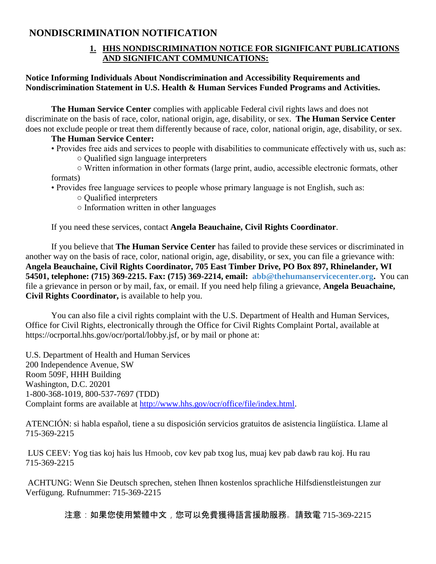## **NONDISCRIMINATION NOTIFICATION**

## **1. HHS NONDISCRIMINATION NOTICE FOR SIGNIFICANT PUBLICATIONS AND SIGNIFICANT COMMUNICATIONS:**

## **Notice Informing Individuals About Nondiscrimination and Accessibility Requirements and Nondiscrimination Statement in U.S. Health & Human Services Funded Programs and Activities.**

**The Human Service Center** complies with applicable Federal civil rights laws and does not discriminate on the basis of race, color, national origin, age, disability, or sex. **The Human Service Center** does not exclude people or treat them differently because of race, color, national origin, age, disability, or sex.

## **The Human Service Center:**

- Provides free aids and services to people with disabilities to communicate effectively with us, such as:
	- Qualified sign language interpreters

○ Written information in other formats (large print, audio, accessible electronic formats, other formats)

- Provides free language services to people whose primary language is not English, such as:
	- Qualified interpreters
	- Information written in other languages

If you need these services, contact **Angela Beauchaine, Civil Rights Coordinator**.

If you believe that **The Human Service Center** has failed to provide these services or discriminated in another way on the basis of race, color, national origin, age, disability, or sex, you can file a grievance with: **Angela Beauchaine, Civil Rights Coordinator, 705 East Timber Drive, PO Box 897, Rhinelander, WI 54501, telephone: (715) 369-2215. Fax: (715) 369-2214, email: [abb@thehumanservicecenter.org.](mailto:abb@thehumanservicecenter.org)** You can file a grievance in person or by mail, fax, or email. If you need help filing a grievance, **Angela Beuachaine, Civil Rights Coordinator,** is available to help you.

You can also file a civil rights complaint with the U.S. Department of Health and Human Services, Office for Civil Rights, electronically through the Office for Civil Rights Complaint Portal, available at https://ocrportal.hhs.gov/ocr/portal/lobby.jsf, or by mail or phone at:

U.S. Department of Health and Human Services 200 Independence Avenue, SW Room 509F, HHH Building Washington, D.C. 20201 1-800-368-1019, 800-537-7697 (TDD) Complaint forms are available at [http://www.hhs.gov/ocr/office/file/index.html.](http://www.hhs.gov/ocr/office/file/index.html)

ATENCIÓN: si habla español, tiene a su disposición servicios gratuitos de asistencia lingüística. Llame al 715-369-2215

LUS CEEV: Yog tias koj hais lus Hmoob, cov kev pab txog lus, muaj kev pab dawb rau koj. Hu rau 715-369-2215

ACHTUNG: Wenn Sie Deutsch sprechen, stehen Ihnen kostenlos sprachliche Hilfsdienstleistungen zur Verfügung. Rufnummer: 715-369-2215

注意:如果您使用繁體中文,您可以免費獲得語言援助服務。請致電 715-369-2215